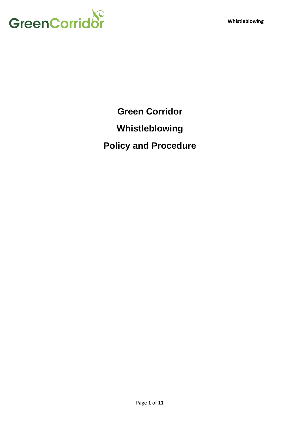

**Green Corridor**

**Whistleblowing**

**Policy and Procedure**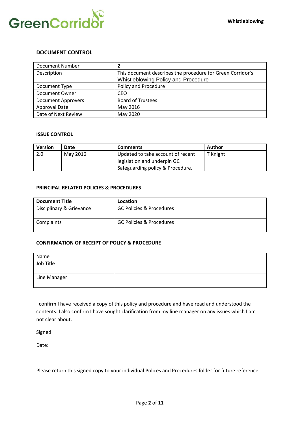

#### **DOCUMENT CONTROL**

| Document Number           |                                                            |
|---------------------------|------------------------------------------------------------|
| Description               | This document describes the procedure for Green Corridor's |
|                           | Whistleblowing Policy and Procedure                        |
| Document Type             | Policy and Procedure                                       |
| Document Owner            | <b>CEO</b>                                                 |
| <b>Document Approvers</b> | <b>Board of Trustees</b>                                   |
| Approval Date             | May 2016                                                   |
| Date of Next Review       | May 2020                                                   |

#### **ISSUE CONTROL**

| <b>Version</b> | Date     | <b>Comments</b>                   | Author   |
|----------------|----------|-----------------------------------|----------|
| 2.0            | May 2016 | Updated to take account of recent | T Knight |
|                |          | legislation and underpin GC       |          |
|                |          | Safeguarding policy & Procedure.  |          |

#### **PRINCIPAL RELATED POLICIES & PROCEDURES**

| <b>Document Title</b>    | Location                            |
|--------------------------|-------------------------------------|
| Disciplinary & Grievance | <b>GC Policies &amp; Procedures</b> |
| Complaints               | GC Policies & Procedures            |

#### **CONFIRMATION OF RECEIPT OF POLICY & PROCEDURE**

| Name         |  |
|--------------|--|
| Job Title    |  |
|              |  |
| Line Manager |  |
|              |  |

I confirm I have received a copy of this policy and procedure and have read and understood the contents. I also confirm I have sought clarification from my line manager on any issues which I am not clear about.

Signed:

Date:

Please return this signed copy to your individual Polices and Procedures folder for future reference.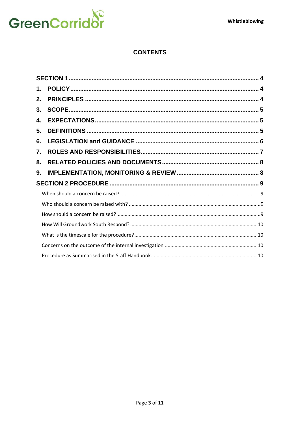

# **CONTENTS**

| 1. |  |
|----|--|
| 2. |  |
| 3. |  |
| 4. |  |
| 5. |  |
| 6. |  |
| 7. |  |
| 8. |  |
| 9. |  |
|    |  |
|    |  |
|    |  |
|    |  |
|    |  |
|    |  |
|    |  |
|    |  |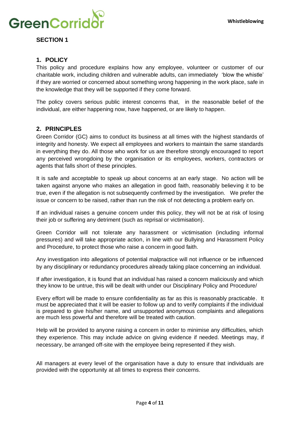

<span id="page-3-1"></span><span id="page-3-0"></span>**SECTION 1**

# **1. POLICY**

This policy and procedure explains how any employee, volunteer or customer of our charitable work, including children and vulnerable adults, can immediately 'blow the whistle' if they are worried or concerned about something wrong happening in the work place, safe in the knowledge that they will be supported if they come forward.

The policy covers serious public interest concerns that, in the reasonable belief of the individual, are either happening now, have happened, or are likely to happen.

# <span id="page-3-2"></span>**2. PRINCIPLES**

Green Corridor (GC) aims to conduct its business at all times with the highest standards of integrity and honesty. We expect all employees and workers to maintain the same standards in everything they do. All those who work for us are therefore strongly encouraged to report any perceived wrongdoing by the organisation or its employees, workers, contractors or agents that falls short of these principles.

It is safe and acceptable to speak up about concerns at an early stage. No action will be taken against anyone who makes an allegation in good faith, reasonably believing it to be true, even if the allegation is not subsequently confirmed by the investigation. We prefer the issue or concern to be raised, rather than run the risk of not detecting a problem early on.

If an individual raises a genuine concern under this policy, they will not be at risk of losing their job or suffering any detriment (such as reprisal or victimisation).

Green Corridor will not tolerate any harassment or victimisation (including informal pressures) and will take appropriate action, in line with our Bullying and Harassment Policy and Procedure, to protect those who raise a concern in good faith.

Any investigation into allegations of potential malpractice will not influence or be influenced by any disciplinary or redundancy procedures already taking place concerning an individual.

If after investigation, it is found that an individual has raised a concern maliciously and which they know to be untrue, this will be dealt with under our Disciplinary Policy and Procedure/

Every effort will be made to ensure confidentiality as far as this is reasonably practicable. It must be appreciated that it will be easier to follow up and to verify complaints if the individual is prepared to give his/her name, and unsupported anonymous complaints and allegations are much less powerful and therefore will be treated with caution.

Help will be provided to anyone raising a concern in order to minimise any difficulties, which they experience. This may include advice on giving evidence if needed. Meetings may, if necessary, be arranged off-site with the employee being represented if they wish.

All managers at every level of the organisation have a duty to ensure that individuals are provided with the opportunity at all times to express their concerns.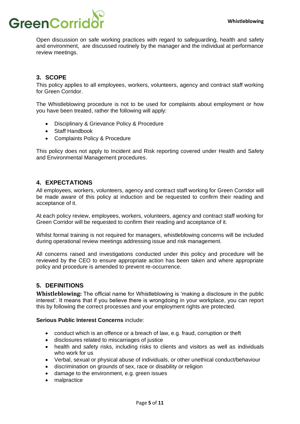

Open discussion on safe working practices with regard to safeguarding, health and safety and environment, are discussed routinely by the manager and the individual at performance review meetings.

# <span id="page-4-0"></span>**3. SCOPE**

This policy applies to all employees, workers, volunteers, agency and contract staff working for Green Corridor.

The Whistleblowing procedure is not to be used for complaints about employment or how you have been treated, rather the following will apply:

- Disciplinary & Grievance Policy & Procedure
- Staff Handbook
- Complaints Policy & Procedure

This policy does not apply to Incident and Risk reporting covered under Health and Safety and Environmental Management procedures.

# <span id="page-4-1"></span>**4. EXPECTATIONS**

All employees, workers, volunteers, agency and contract staff working for Green Corridor will be made aware of this policy at induction and be requested to confirm their reading and acceptance of it.

At each policy review, employees, workers, volunteers, agency and contract staff working for Green Corridor will be requested to confirm their reading and acceptance of it.

Whilst formal training is not required for managers, whistleblowing concerns will be included during operational review meetings addressing issue and risk management.

All concerns raised and investigations conducted under this policy and procedure will be reviewed by the CEO to ensure appropriate action has been taken and where appropriate policy and procedure is amended to prevent re-occurrence.

# <span id="page-4-2"></span>**5. DEFINITIONS**

**Whistleblowing:** The official name for Whistleblowing is 'making a disclosure in the public interest'. It means that if you believe there is wrongdoing in your workplace, you can report this by following the correct processes and your employment rights are protected.

#### **Serious Public Interest Concerns** include:

- conduct which is an offence or a breach of law, e.g. fraud, corruption or theft
- disclosures related to miscarriages of justice
- health and safety risks, including risks to clients and visitors as well as individuals who work for us
- Verbal, sexual or physical abuse of individuals, or other unethical conduct/behaviour
- discrimination on grounds of sex, race or disability or religion
- damage to the environment, e.g. green issues
- malpractice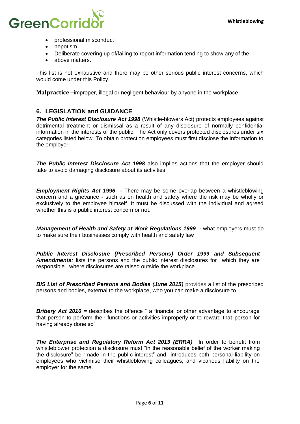

- professional misconduct
- nepotism
- Deliberate covering up of/failing to report information tending to show any of the
- above matters.

This list is not exhaustive and there may be other serious public interest concerns, which would come under this Policy.

<span id="page-5-0"></span>**Malpractice** –improper, illegal or negligent behaviour by anyone in the workplace.

# **6. LEGISLATION and GUIDANCE**

*The Public Interest Disclosure Act 1998* (Whistle-blowers Act) protects employees against detrimental treatment or dismissal as a result of any disclosure of normally confidential information in the interests of the public. The Act only covers protected disclosures under six categories listed below. To obtain protection employees must first disclose the information to the employer.

**The Public Interest Disclosure Act 1998** also implies actions that the employer should take to avoid damaging disclosure about its activities.

*Employment Rights Act 1996 -* There may be some overlap between a whistleblowing concern and a grievance - such as on health and safety where the risk may be wholly or exclusively to the employee himself. It must be discussed with the individual and agreed whether this is a public interest concern or not.

*Management of Health and Safety at Work Regulations 1999 -* what employers must do to make sure their businesses comply with health and safety law

*Public Interest Disclosure (Prescribed Persons) Order 1999 and Subsequent Amendments:* lists the persons and the public interest disclosures for which they are responsible., where disclosures are raised outside the workplace.

*BIS List of Prescribed Persons and Bodies (June 2015)* provides a list of the prescribed persons and bodies, external to the workplace, who you can make a disclosure to.

**Bribery Act 2010** = describes the offence " a financial or other advantage to encourage that person to perform their functions or activities improperly or to reward that person for having already done so"

*The Enterprise and Regulatory Reform Act 2013 (ERRA)* In order to benefit from whistleblower protection a disclosure must "in the reasonable belief of the worker making the disclosure" be "made in the public interest" and introduces both personal liability on employees who victimise their whistleblowing colleagues, and vicarious liability on the employer for the same.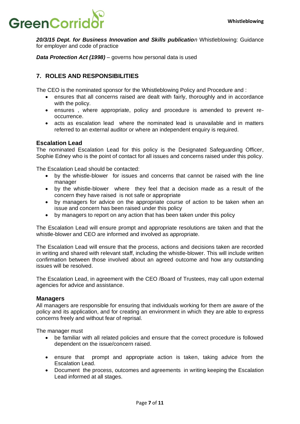# **GreenCorrio**

**20/3/15 Dept. for Business Innovation and Skills publication** Whistleblowing: Guidance for employer and code of practice

*Data Protection Act (1998)* – governs how personal data is used

# <span id="page-6-0"></span>**7. ROLES AND RESPONSIBILITIES**

The CEO is the nominated sponsor for the Whistleblowing Policy and Procedure and :

- ensures that all concerns raised are dealt with fairly, thoroughly and in accordance with the policy.
- ensures , where appropriate, policy and procedure is amended to prevent reoccurrence.
- acts as escalation lead where the nominated lead is unavailable and in matters referred to an external auditor or where an independent enquiry is required.

#### **Escalation Lead**

The nominated Escalation Lead for this policy is the Designated Safeguarding Officer, Sophie Edney who is the point of contact for all issues and concerns raised under this policy.

The Escalation Lead should be contacted:

- by the whistle-blower for issues and concerns that cannot be raised with the line manager
- by the whistle-blower where they feel that a decision made as a result of the concern they have raised is not safe or appropriate
- by managers for advice on the appropriate course of action to be taken when an issue and concern has been raised under this policy
- by managers to report on any action that has been taken under this policy

The Escalation Lead will ensure prompt and appropriate resolutions are taken and that the whistle-blower and CEO are informed and involved as appropriate.

The Escalation Lead will ensure that the process, actions and decisions taken are recorded in writing and shared with relevant staff, including the whistle-blower. This will include written confirmation between those involved about an agreed outcome and how any outstanding issues will be resolved.

The Escalation Lead, in agreement with the CEO /Board of Trustees, may call upon external agencies for advice and assistance.

#### **Managers**

All managers are responsible for ensuring that individuals working for them are aware of the policy and its application, and for creating an environment in which they are able to express concerns freely and without fear of reprisal.

The manager must

- be familiar with all related policies and ensure that the correct procedure is followed dependent on the issue/concern raised.
- ensure that prompt and appropriate action is taken, taking advice from the Escalation Lead.
- Document the process, outcomes and agreements in writing keeping the Escalation Lead informed at all stages.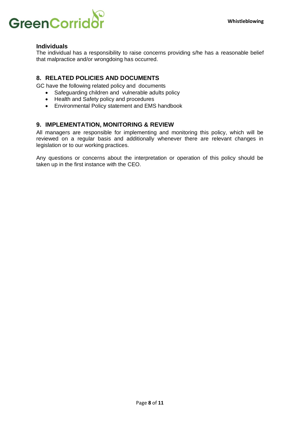

#### **Individuals**

The individual has a responsibility to raise concerns providing s/he has a reasonable belief that malpractice and/or wrongdoing has occurred.

# <span id="page-7-0"></span>**8. RELATED POLICIES AND DOCUMENTS**

GC have the following related policy and documents

- Safeguarding children and vulnerable adults policy
- Health and Safety policy and procedures
- <span id="page-7-1"></span>• Environmental Policy statement and EMS handbook

# **9. IMPLEMENTATION, MONITORING & REVIEW**

All managers are responsible for implementing and monitoring this policy, which will be reviewed on a regular basis and additionally whenever there are relevant changes in legislation or to our working practices.

Any questions or concerns about the interpretation or operation of this policy should be taken up in the first instance with the CEO.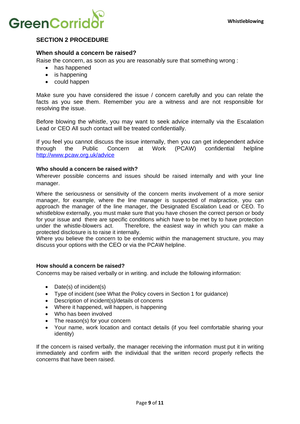

# <span id="page-8-0"></span>**SECTION 2 PROCEDURE**

#### <span id="page-8-1"></span>**When should a concern be raised?**

Raise the concern, as soon as you are reasonably sure that something wrong :

- has happened
- is happening
- could happen

Make sure you have considered the issue / concern carefully and you can relate the facts as you see them. Remember you are a witness and are not responsible for resolving the issue.

Before blowing the whistle, you may want to seek advice internally via the Escalation Lead or CEO All such contact will be treated confidentially.

If you feel you cannot discuss the issue internally, then you can get independent advice through the Public Concern at Work (PCAW) confidential helpline <http://www.pcaw.org.uk/advice>

#### <span id="page-8-2"></span> **Who should a concern be raised with?**

Wherever possible concerns and issues should be raised internally and with your line manager.

Where the seriousness or sensitivity of the concern merits involvement of a more senior manager, for example, where the line manager is suspected of malpractice, you can approach the manager of the line manager, the Designated Escalation Lead or CEO. To whistleblow externally, you must make sure that you have chosen the correct person or body for your issue and there are specific conditions which have to be met by to have protection under the whistle-blowers act. Therefore, the easiest way in which you can make a protected disclosure is to raise it internally.

Where you believe the concern to be endemic within the management structure, you may discuss your options with the CEO or via the PCAW helpline.

#### <span id="page-8-3"></span> **How should a concern be raised?**

Concerns may be raised verbally or in writing. and include the following information:

- Date(s) of incident(s)
- Type of incident (see What the Policy covers in Section 1 for guidance)
- Description of incident(s)/details of concerns
- Where it happened, will happen, is happening
- Who has been involved
- The reason(s) for your concern
- Your name, work location and contact details (if you feel comfortable sharing your identity)

If the concern is raised verbally, the manager receiving the information must put it in writing immediately and confirm with the individual that the written record properly reflects the concerns that have been raised.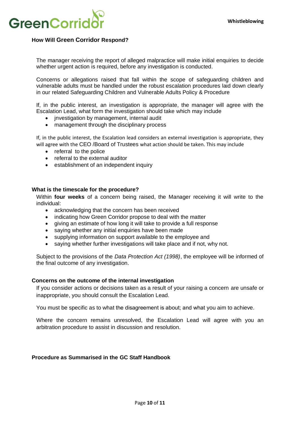

# <span id="page-9-0"></span>**How Will Green Corridor Respond?**

The manager receiving the report of alleged malpractice will make initial enquiries to decide whether urgent action is required, before any investigation is conducted.

Concerns or allegations raised that fall within the scope of safeguarding children and vulnerable adults must be handled under the robust escalation procedures laid down clearly in our related Safeguarding Children and Vulnerable Adults Policy & Procedure

If, in the public interest, an investigation is appropriate, the manager will agree with the Escalation Lead, what form the investigation should take which may include

- jnvestigation by management, internal audit
- management through the disciplinary process

If, in the public interest, the Escalation lead considers an external investigation is appropriate, they will agree with the CEO /Board of Trustees what action should be taken. This may include

- referral to the police
- referral to the external auditor
- establishment of an independent inquiry

#### <span id="page-9-1"></span>**What is the timescale for the procedure?**

Within **four weeks** of a concern being raised, the Manager receiving it will write to the individual:

- acknowledging that the concern has been received
- indicating how Green Corridor propose to deal with the matter
- giving an estimate of how long it will take to provide a full response
- saving whether any initial enquiries have been made
- supplying information on support available to the employee and
- saying whether further investigations will take place and if not, why not.

Subject to the provisions of the *Data Protection Act (1998)*, the employee will be informed of the final outcome of any investigation.

#### <span id="page-9-2"></span>**Concerns on the outcome of the internal investigation**

If you consider actions or decisions taken as a result of your raising a concern are unsafe or inappropriate, you should consult the Escalation Lead.

You must be specific as to what the disagreement is about; and what you aim to achieve.

Where the concern remains unresolved, the Escalation Lead will agree with you an arbitration procedure to assist in discussion and resolution.

#### <span id="page-9-3"></span>**Procedure as Summarised in the GC Staff Handbook**